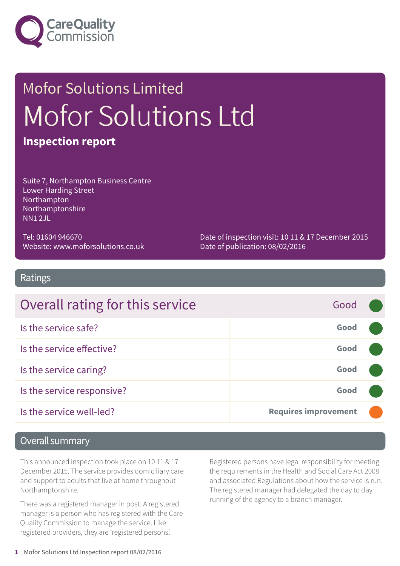

# Mofor Solutions Limited Mofor Solutions Ltd **Inspection report**

Suite 7, Northampton Business Centre Lower Harding Street Northampton Northamptonshire NN1 2JL

Tel: 01604 946670 Website: www.moforsolutions.co.uk Date of inspection visit: 10 11 & 17 December 2015 Date of publication: 08/02/2016

#### Ratings

| Overall rating for this service | Good                        |  |
|---------------------------------|-----------------------------|--|
| Is the service safe?            | Good                        |  |
| Is the service effective?       | Good                        |  |
| Is the service caring?          | Good                        |  |
| Is the service responsive?      | Good                        |  |
| Is the service well-led?        | <b>Requires improvement</b> |  |

#### Overall summary

This announced inspection took place on 10 11 & 17 December 2015. The service provides domiciliary care and support to adults that live at home throughout Northamptonshire.

There was a registered manager in post. A registered manager is a person who has registered with the Care Quality Commission to manage the service. Like registered providers, they are 'registered persons'.

Registered persons have legal responsibility for meeting the requirements in the Health and Social Care Act 2008 and associated Regulations about how the service is run. The registered manager had delegated the day to day running of the agency to a branch manager.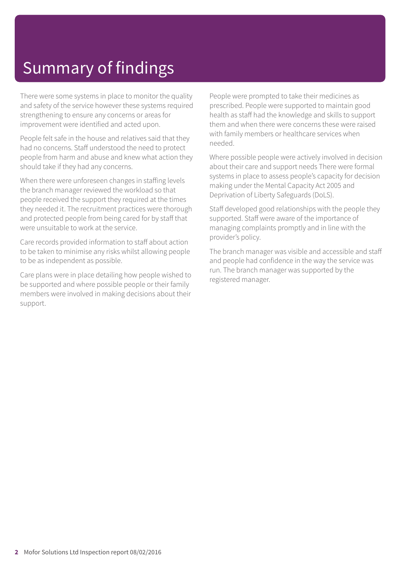# Summary of findings

There were some systems in place to monitor the quality and safety of the service however these systems required strengthening to ensure any concerns or areas for improvement were identified and acted upon.

People felt safe in the house and relatives said that they had no concerns. Staff understood the need to protect people from harm and abuse and knew what action they should take if they had any concerns.

When there were unforeseen changes in staffing levels the branch manager reviewed the workload so that people received the support they required at the times they needed it. The recruitment practices were thorough and protected people from being cared for by staff that were unsuitable to work at the service.

Care records provided information to staff about action to be taken to minimise any risks whilst allowing people to be as independent as possible.

Care plans were in place detailing how people wished to be supported and where possible people or their family members were involved in making decisions about their support.

People were prompted to take their medicines as prescribed. People were supported to maintain good health as staff had the knowledge and skills to support them and when there were concerns these were raised with family members or healthcare services when needed.

Where possible people were actively involved in decision about their care and support needs There were formal systems in place to assess people's capacity for decision making under the Mental Capacity Act 2005 and Deprivation of Liberty Safeguards (DoLS).

Staff developed good relationships with the people they supported. Staff were aware of the importance of managing complaints promptly and in line with the provider's policy.

The branch manager was visible and accessible and staff and people had confidence in the way the service was run. The branch manager was supported by the registered manager.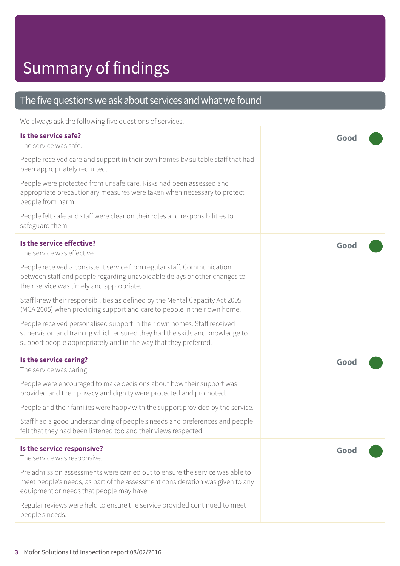# Summary of findings

#### The five questions we ask about services and what we found We always ask the following five questions of services. **Is the service safe?** The service was safe. People received care and support in their own homes by suitable staff that had been appropriately recruited. People were protected from unsafe care. Risks had been assessed and appropriate precautionary measures were taken when necessary to protect people from harm. People felt safe and staff were clear on their roles and responsibilities to safeguard them. **Good ––– Is the service effective?** The service was effective People received a consistent service from regular staff. Communication between staff and people regarding unavoidable delays or other changes to their service was timely and appropriate. Staff knew their responsibilities as defined by the Mental Capacity Act 2005 (MCA 2005) when providing support and care to people in their own home. People received personalised support in their own homes. Staff received supervision and training which ensured they had the skills and knowledge to support people appropriately and in the way that they preferred. **Good ––– Is the service caring?** The service was caring. People were encouraged to make decisions about how their support was provided and their privacy and dignity were protected and promoted. People and their families were happy with the support provided by the service. Staff had a good understanding of people's needs and preferences and people felt that they had been listened too and their views respected. **Good ––– Is the service responsive?** The service was responsive. Pre admission assessments were carried out to ensure the service was able to meet people's needs, as part of the assessment consideration was given to any equipment or needs that people may have. Regular reviews were held to ensure the service provided continued to meet people's needs. **Good –––**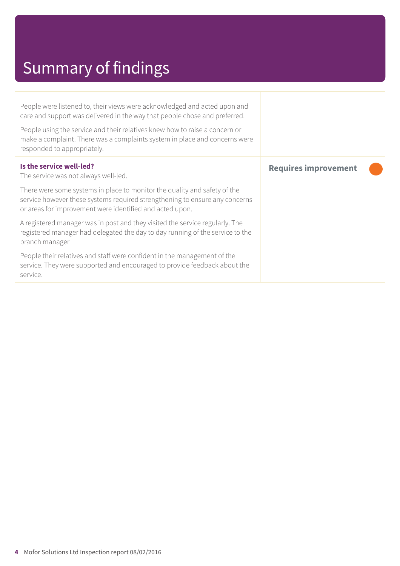# Summary of findings

People were listened to, their views were acknowledged and acted upon and care and support was delivered in the way that people chose and preferred.

People using the service and their relatives knew how to raise a concern or make a complaint. There was a complaints system in place and concerns were responded to appropriately.

| Is the service well-led?<br>The service was not always well-led.                                                                                                                                                     | <b>Requires improvement</b> |
|----------------------------------------------------------------------------------------------------------------------------------------------------------------------------------------------------------------------|-----------------------------|
| There were some systems in place to monitor the quality and safety of the<br>service however these systems required strengthening to ensure any concerns<br>or areas for improvement were identified and acted upon. |                             |
| A registered manager was in post and they visited the service regularly. The<br>registered manager had delegated the day to day running of the service to the<br>branch manager                                      |                             |
| People their relatives and staff were confident in the management of the<br>service. They were supported and encouraged to provide feedback about the<br>service.                                                    |                             |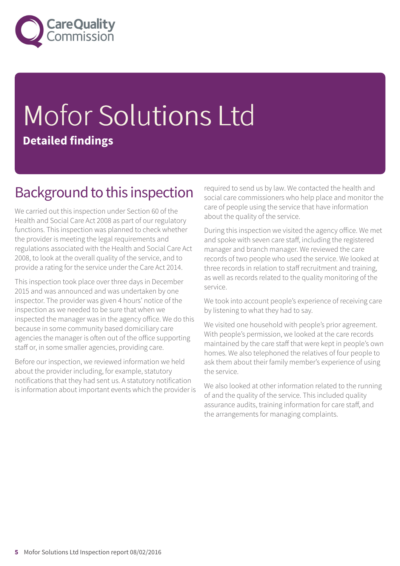

# Mofor Solutions Ltd **Detailed findings**

#### Background to this inspection

We carried out this inspection under Section 60 of the Health and Social Care Act 2008 as part of our regulatory functions. This inspection was planned to check whether the provider is meeting the legal requirements and regulations associated with the Health and Social Care Act 2008, to look at the overall quality of the service, and to provide a rating for the service under the Care Act 2014.

This inspection took place over three days in December 2015 and was announced and was undertaken by one inspector. The provider was given 4 hours' notice of the inspection as we needed to be sure that when we inspected the manager was in the agency office. We do this because in some community based domiciliary care agencies the manager is often out of the office supporting staff or, in some smaller agencies, providing care.

Before our inspection, we reviewed information we held about the provider including, for example, statutory notifications that they had sent us. A statutory notification is information about important events which the provider is required to send us by law. We contacted the health and social care commissioners who help place and monitor the care of people using the service that have information about the quality of the service.

During this inspection we visited the agency office. We met and spoke with seven care staff, including the registered manager and branch manager. We reviewed the care records of two people who used the service. We looked at three records in relation to staff recruitment and training, as well as records related to the quality monitoring of the service.

We took into account people's experience of receiving care by listening to what they had to say.

We visited one household with people's prior agreement. With people's permission, we looked at the care records maintained by the care staff that were kept in people's own homes. We also telephoned the relatives of four people to ask them about their family member's experience of using the service.

We also looked at other information related to the running of and the quality of the service. This included quality assurance audits, training information for care staff, and the arrangements for managing complaints.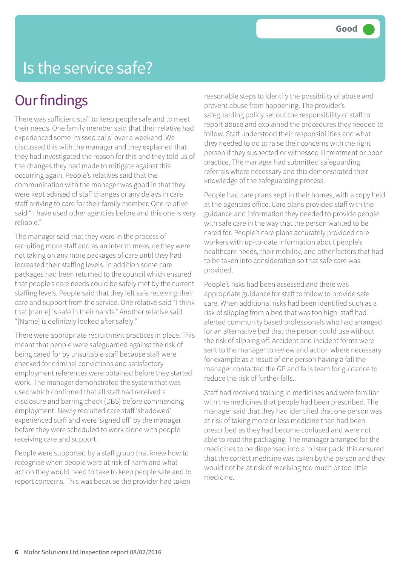### Is the service safe?

#### **Our findings**

There was sufficient staff to keep people safe and to meet their needs. One family member said that their relative had experienced some 'missed calls' over a weekend. We discussed this with the manager and they explained that they had investigated the reason for this and they told us of the changes they had made to mitigate against this occurring again. People's relatives said that the communication with the manager was good in that they were kept advised of staff changes or any delays in care staff arriving to care for their family member. One relative said " I have used other agencies before and this one is very reliable."

The manager said that they were in the process of recruiting more staff and as an interim measure they were not taking on any more packages of care until they had increased their staffing levels. In addition some care packages had been returned to the council which ensured that people's care needs could be safely met by the current staffing levels. People said that they felt safe receiving their care and support from the service. One relative said "I think that [name] is safe in their hands." Another relative said "[Name] is definitely looked after safely."

There were appropriate recruitment practices in place. This meant that people were safeguarded against the risk of being cared for by unsuitable staff because staff were checked for criminal convictions and satisfactory employment references were obtained before they started work. The manager demonstrated the system that was used which confirmed that all staff had received a disclosure and barring check (DBS) before commencing employment. Newly recruited care staff 'shadowed' experienced staff and were 'signed off' by the manager before they were scheduled to work alone with people receiving care and support.

People were supported by a staff group that knew how to recognise when people were at risk of harm and what action they would need to take to keep people safe and to report concerns. This was because the provider had taken

reasonable steps to identify the possibility of abuse and prevent abuse from happening. The provider's safeguarding policy set out the responsibility of staff to report abuse and explained the procedures they needed to follow. Staff understood their responsibilities and what they needed to do to raise their concerns with the right person if they suspected or witnessed ill treatment or poor practice. The manager had submitted safeguarding referrals where necessary and this demonstrated their knowledge of the safeguarding process.

People had care plans kept in their homes, with a copy held at the agencies office. Care plans provided staff with the guidance and information they needed to provide people with safe care in the way that the person wanted to be cared for. People's care plans accurately provided care workers with up-to-date information about people's healthcare needs, their mobility, and other factors that had to be taken into consideration so that safe care was provided.

People's risks had been assessed and there was appropriate guidance for staff to follow to provide safe care. When additional risks had been identified such as a risk of slipping from a bed that was too high, staff had alerted community based professionals who had arranged for an alternative bed that the person could use without the risk of slipping off. Accident and incident forms were sent to the manager to review and action where necessary for example as a result of one person having a fall the manager contacted the GP and falls team for guidance to reduce the risk of further falls..

Staff had received training in medicines and were familiar with the medicines that people had been prescribed. The manager said that they had identified that one person was at risk of taking more or less medicine than had been prescribed as they had become confused and were not able to read the packaging. The manager arranged for the medicines to be dispensed into a 'blister pack' this ensured that the correct medicine was taken by the person and they would not be at risk of receiving too much or too little medicine.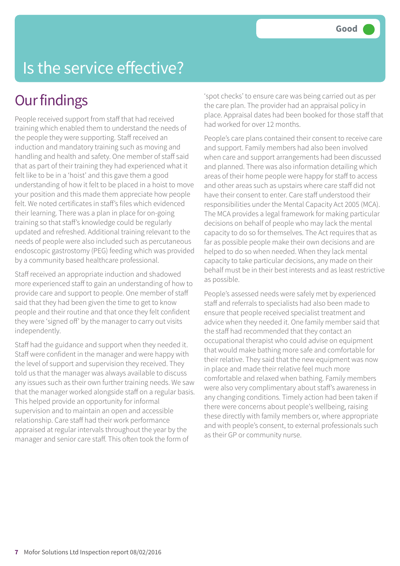# Is the service effective?

#### **Our findings**

People received support from staff that had received training which enabled them to understand the needs of the people they were supporting. Staff received an induction and mandatory training such as moving and handling and health and safety. One member of staff said that as part of their training they had experienced what it felt like to be in a 'hoist' and this gave them a good understanding of how it felt to be placed in a hoist to move your position and this made them appreciate how people felt. We noted certificates in staff's files which evidenced their learning. There was a plan in place for on-going training so that staff's knowledge could be regularly updated and refreshed. Additional training relevant to the needs of people were also included such as percutaneous endoscopic gastrostomy (PEG) feeding which was provided by a community based healthcare professional.

Staff received an appropriate induction and shadowed more experienced staff to gain an understanding of how to provide care and support to people. One member of staff said that they had been given the time to get to know people and their routine and that once they felt confident they were 'signed off' by the manager to carry out visits independently.

Staff had the guidance and support when they needed it. Staff were confident in the manager and were happy with the level of support and supervision they received. They told us that the manager was always available to discuss any issues such as their own further training needs. We saw that the manager worked alongside staff on a regular basis. This helped provide an opportunity for informal supervision and to maintain an open and accessible relationship. Care staff had their work performance appraised at regular intervals throughout the year by the manager and senior care staff. This often took the form of

'spot checks' to ensure care was being carried out as per the care plan. The provider had an appraisal policy in place. Appraisal dates had been booked for those staff that had worked for over 12 months.

People's care plans contained their consent to receive care and support. Family members had also been involved when care and support arrangements had been discussed and planned. There was also information detailing which areas of their home people were happy for staff to access and other areas such as upstairs where care staff did not have their consent to enter. Care staff understood their responsibilities under the Mental Capacity Act 2005 (MCA). The MCA provides a legal framework for making particular decisions on behalf of people who may lack the mental capacity to do so for themselves. The Act requires that as far as possible people make their own decisions and are helped to do so when needed. When they lack mental capacity to take particular decisions, any made on their behalf must be in their best interests and as least restrictive as possible.

People's assessed needs were safely met by experienced staff and referrals to specialists had also been made to ensure that people received specialist treatment and advice when they needed it. One family member said that the staff had recommended that they contact an occupational therapist who could advise on equipment that would make bathing more safe and comfortable for their relative. They said that the new equipment was now in place and made their relative feel much more comfortable and relaxed when bathing. Family members were also very complimentary about staff's awareness in any changing conditions. Timely action had been taken if there were concerns about people's wellbeing, raising these directly with family members or, where appropriate and with people's consent, to external professionals such as their GP or community nurse.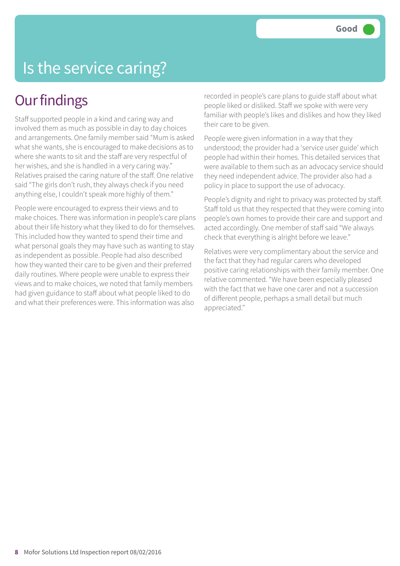# Is the service caring?

#### **Our findings**

Staff supported people in a kind and caring way and involved them as much as possible in day to day choices and arrangements. One family member said "Mum is asked what she wants, she is encouraged to make decisions as to where she wants to sit and the staff are very respectful of her wishes, and she is handled in a very caring way." Relatives praised the caring nature of the staff. One relative said "The girls don't rush, they always check if you need anything else, I couldn't speak more highly of them."

People were encouraged to express their views and to make choices. There was information in people's care plans about their life history what they liked to do for themselves. This included how they wanted to spend their time and what personal goals they may have such as wanting to stay as independent as possible. People had also described how they wanted their care to be given and their preferred daily routines. Where people were unable to express their views and to make choices, we noted that family members had given guidance to staff about what people liked to do and what their preferences were. This information was also

recorded in people's care plans to guide staff about what people liked or disliked. Staff we spoke with were very familiar with people's likes and dislikes and how they liked their care to be given.

People were given information in a way that they understood; the provider had a 'service user guide' which people had within their homes. This detailed services that were available to them such as an advocacy service should they need independent advice. The provider also had a policy in place to support the use of advocacy.

People's dignity and right to privacy was protected by staff. Staff told us that they respected that they were coming into people's own homes to provide their care and support and acted accordingly. One member of staff said "We always check that everything is alright before we leave."

Relatives were very complimentary about the service and the fact that they had regular carers who developed positive caring relationships with their family member. One relative commented. "We have been especially pleased with the fact that we have one carer and not a succession of different people, perhaps a small detail but much appreciated."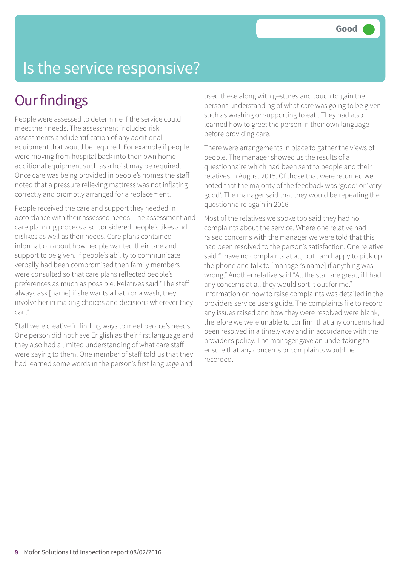# Is the service responsive?

### **Our findings**

People were assessed to determine if the service could meet their needs. The assessment included risk assessments and identification of any additional equipment that would be required. For example if people were moving from hospital back into their own home additional equipment such as a hoist may be required. Once care was being provided in people's homes the staff noted that a pressure relieving mattress was not inflating correctly and promptly arranged for a replacement.

People received the care and support they needed in accordance with their assessed needs. The assessment and care planning process also considered people's likes and dislikes as well as their needs. Care plans contained information about how people wanted their care and support to be given. If people's ability to communicate verbally had been compromised then family members were consulted so that care plans reflected people's preferences as much as possible. Relatives said "The staff always ask [name] if she wants a bath or a wash, they involve her in making choices and decisions wherever they can."

Staff were creative in finding ways to meet people's needs. One person did not have English as their first language and they also had a limited understanding of what care staff were saying to them. One member of staff told us that they had learned some words in the person's first language and

used these along with gestures and touch to gain the persons understanding of what care was going to be given such as washing or supporting to eat.. They had also learned how to greet the person in their own language before providing care.

There were arrangements in place to gather the views of people. The manager showed us the results of a questionnaire which had been sent to people and their relatives in August 2015. Of those that were returned we noted that the majority of the feedback was 'good' or 'very good'. The manager said that they would be repeating the questionnaire again in 2016.

Most of the relatives we spoke too said they had no complaints about the service. Where one relative had raised concerns with the manager we were told that this had been resolved to the person's satisfaction. One relative said "I have no complaints at all, but I am happy to pick up the phone and talk to [manager's name] if anything was wrong." Another relative said "All the staff are great, if I had any concerns at all they would sort it out for me." Information on how to raise complaints was detailed in the providers service users guide. The complaints file to record any issues raised and how they were resolved were blank, therefore we were unable to confirm that any concerns had been resolved in a timely way and in accordance with the provider's policy. The manager gave an undertaking to ensure that any concerns or complaints would be recorded.